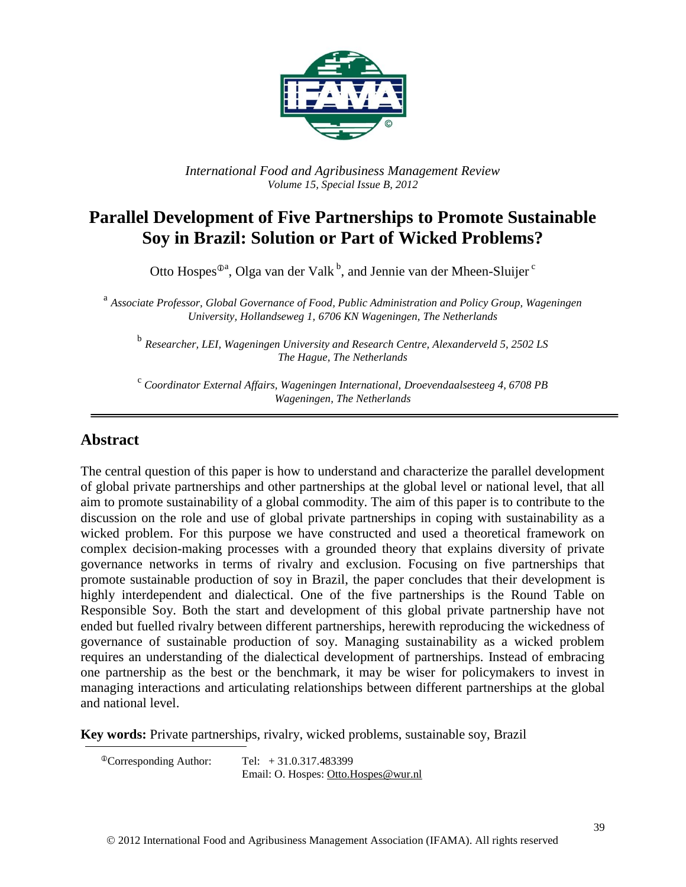

*International Food and Agribusiness Management Review Volume 15, Special Issue B, 2012*

# **Parallel Development of Five Partnerships to Promote Sustainable Soy in Brazil: Solution or Part of Wicked Problems?**

Otto Hospes<sup>®a</sup>, Olga van der Valk<sup>b</sup>, and Jennie van der Mheen-Sluijer<sup>c</sup>

a *Associate Professor, Global Governance of Food, Public Administration and Policy Group, Wageningen University, Hollandseweg 1, 6706 KN Wageningen, The Netherlands*

b *Researcher, LEI, Wageningen University and Research Centre, Alexanderveld 5, 2502 LS The Hague, The Netherlands*

<sup>c</sup> Coordinator External Affairs, Wageningen International, Droevendaalsesteeg 4, 6708 PB *Wageningen, The Netherlands*

### **Abstract**

The central question of this paper is how to understand and characterize the parallel development of global private partnerships and other partnerships at the global level or national level, that all aim to promote sustainability of a global commodity. The aim of this paper is to contribute to the discussion on the role and use of global private partnerships in coping with sustainability as a wicked problem. For this purpose we have constructed and used a theoretical framework on complex decision-making processes with a grounded theory that explains diversity of private governance networks in terms of rivalry and exclusion. Focusing on five partnerships that promote sustainable production of soy in Brazil, the paper concludes that their development is highly interdependent and dialectical. One of the five partnerships is the Round Table on Responsible Soy. Both the start and development of this global private partnership have not ended but fuelled rivalry between different partnerships, herewith reproducing the wickedness of governance of sustainable production of soy. Managing sustainability as a wicked problem requires an understanding of the dialectical development of partnerships. Instead of embracing one partnership as the best or the benchmark, it may be wiser for policymakers to invest in managing interactions and articulating relationships between different partnerships at the global and national level.

**Key words:** Private partnerships, rivalry, wicked problems, sustainable soy, Brazil

 ${}^{\circ}$ Corresponding Author: Tel:  $+31.0.317.483399$ Email: O. Hospes: [Otto.Hospes@wur.nl](mailto:Otto.Hospes@wur.nl)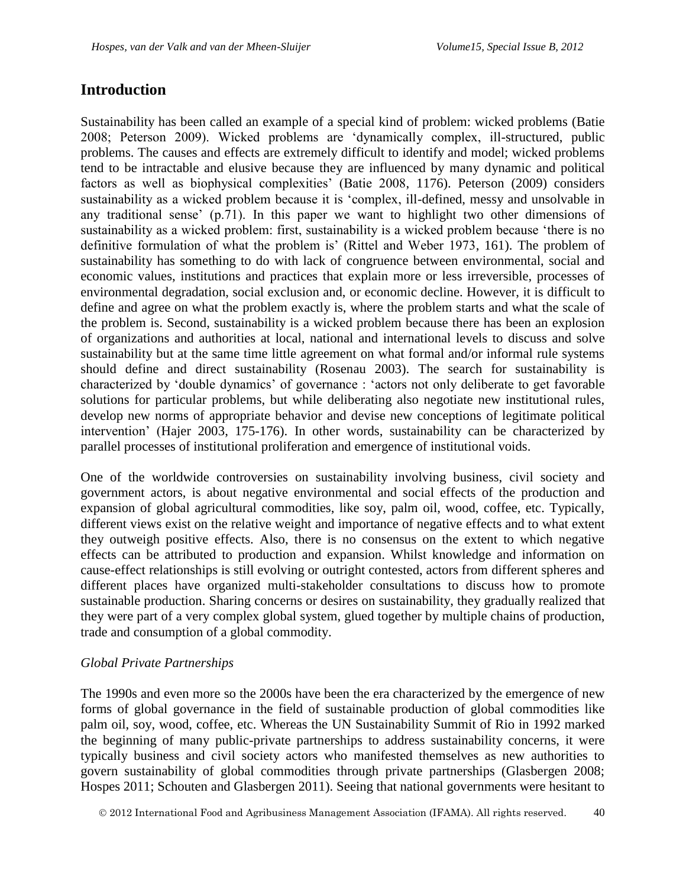### **Introduction**

Sustainability has been called an example of a special kind of problem: wicked problems (Batie 2008; Peterson 2009). Wicked problems are 'dynamically complex, ill-structured, public problems. The causes and effects are extremely difficult to identify and model; wicked problems tend to be intractable and elusive because they are influenced by many dynamic and political factors as well as biophysical complexities' (Batie 2008, 1176). Peterson (2009) considers sustainability as a wicked problem because it is 'complex, ill-defined, messy and unsolvable in any traditional sense' (p.71). In this paper we want to highlight two other dimensions of sustainability as a wicked problem: first, sustainability is a wicked problem because 'there is no definitive formulation of what the problem is' (Rittel and Weber 1973, 161). The problem of sustainability has something to do with lack of congruence between environmental, social and economic values, institutions and practices that explain more or less irreversible, processes of environmental degradation, social exclusion and, or economic decline. However, it is difficult to define and agree on what the problem exactly is, where the problem starts and what the scale of the problem is. Second, sustainability is a wicked problem because there has been an explosion of organizations and authorities at local, national and international levels to discuss and solve sustainability but at the same time little agreement on what formal and/or informal rule systems should define and direct sustainability (Rosenau 2003). The search for sustainability is characterized by 'double dynamics' of governance : 'actors not only deliberate to get favorable solutions for particular problems, but while deliberating also negotiate new institutional rules, develop new norms of appropriate behavior and devise new conceptions of legitimate political intervention' (Hajer 2003, 175-176). In other words, sustainability can be characterized by parallel processes of institutional proliferation and emergence of institutional voids.

One of the worldwide controversies on sustainability involving business, civil society and government actors, is about negative environmental and social effects of the production and expansion of global agricultural commodities, like soy, palm oil, wood, coffee, etc. Typically, different views exist on the relative weight and importance of negative effects and to what extent they outweigh positive effects. Also, there is no consensus on the extent to which negative effects can be attributed to production and expansion. Whilst knowledge and information on cause-effect relationships is still evolving or outright contested, actors from different spheres and different places have organized multi-stakeholder consultations to discuss how to promote sustainable production. Sharing concerns or desires on sustainability, they gradually realized that they were part of a very complex global system, glued together by multiple chains of production, trade and consumption of a global commodity.

### *Global Private Partnerships*

The 1990s and even more so the 2000s have been the era characterized by the emergence of new forms of global governance in the field of sustainable production of global commodities like palm oil, soy, wood, coffee, etc. Whereas the UN Sustainability Summit of Rio in 1992 marked the beginning of many public-private partnerships to address sustainability concerns, it were typically business and civil society actors who manifested themselves as new authorities to govern sustainability of global commodities through private partnerships (Glasbergen 2008; Hospes 2011; Schouten and Glasbergen 2011). Seeing that national governments were hesitant to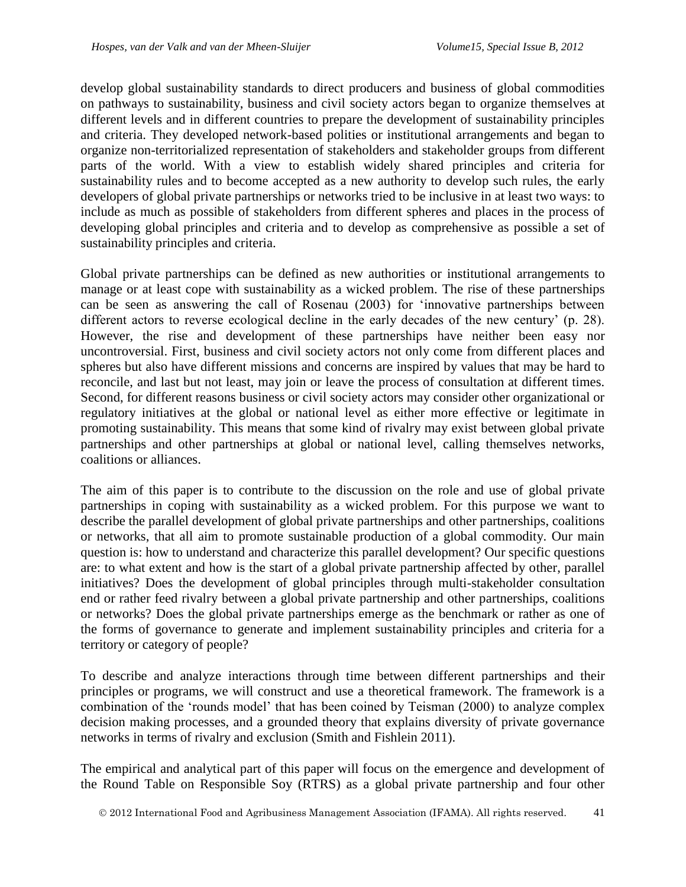develop global sustainability standards to direct producers and business of global commodities on pathways to sustainability, business and civil society actors began to organize themselves at different levels and in different countries to prepare the development of sustainability principles and criteria. They developed network-based polities or institutional arrangements and began to organize non-territorialized representation of stakeholders and stakeholder groups from different parts of the world. With a view to establish widely shared principles and criteria for sustainability rules and to become accepted as a new authority to develop such rules, the early developers of global private partnerships or networks tried to be inclusive in at least two ways: to include as much as possible of stakeholders from different spheres and places in the process of developing global principles and criteria and to develop as comprehensive as possible a set of sustainability principles and criteria.

Global private partnerships can be defined as new authorities or institutional arrangements to manage or at least cope with sustainability as a wicked problem. The rise of these partnerships can be seen as answering the call of Rosenau (2003) for 'innovative partnerships between different actors to reverse ecological decline in the early decades of the new century' (p. 28). However, the rise and development of these partnerships have neither been easy nor uncontroversial. First, business and civil society actors not only come from different places and spheres but also have different missions and concerns are inspired by values that may be hard to reconcile, and last but not least, may join or leave the process of consultation at different times. Second, for different reasons business or civil society actors may consider other organizational or regulatory initiatives at the global or national level as either more effective or legitimate in promoting sustainability. This means that some kind of rivalry may exist between global private partnerships and other partnerships at global or national level, calling themselves networks, coalitions or alliances.

The aim of this paper is to contribute to the discussion on the role and use of global private partnerships in coping with sustainability as a wicked problem. For this purpose we want to describe the parallel development of global private partnerships and other partnerships, coalitions or networks, that all aim to promote sustainable production of a global commodity. Our main question is: how to understand and characterize this parallel development? Our specific questions are: to what extent and how is the start of a global private partnership affected by other, parallel initiatives? Does the development of global principles through multi-stakeholder consultation end or rather feed rivalry between a global private partnership and other partnerships, coalitions or networks? Does the global private partnerships emerge as the benchmark or rather as one of the forms of governance to generate and implement sustainability principles and criteria for a territory or category of people?

To describe and analyze interactions through time between different partnerships and their principles or programs, we will construct and use a theoretical framework. The framework is a combination of the 'rounds model' that has been coined by Teisman (2000) to analyze complex decision making processes, and a grounded theory that explains diversity of private governance networks in terms of rivalry and exclusion (Smith and Fishlein 2011).

The empirical and analytical part of this paper will focus on the emergence and development of the Round Table on Responsible Soy (RTRS) as a global private partnership and four other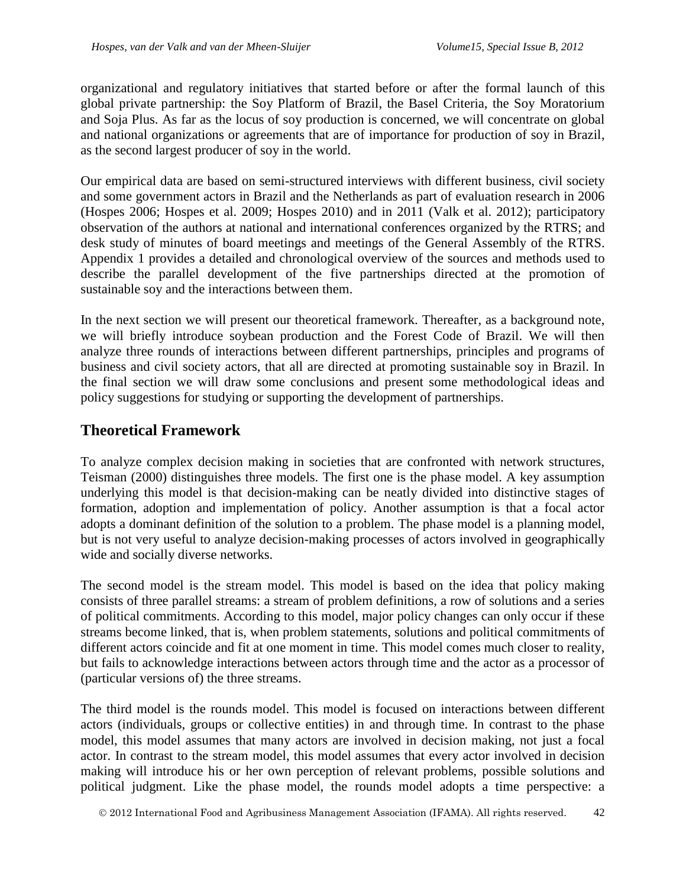organizational and regulatory initiatives that started before or after the formal launch of this global private partnership: the Soy Platform of Brazil, the Basel Criteria, the Soy Moratorium and Soja Plus. As far as the locus of soy production is concerned, we will concentrate on global and national organizations or agreements that are of importance for production of soy in Brazil, as the second largest producer of soy in the world.

Our empirical data are based on semi-structured interviews with different business, civil society and some government actors in Brazil and the Netherlands as part of evaluation research in 2006 (Hospes 2006; Hospes et al. 2009; Hospes 2010) and in 2011 (Valk et al. 2012); participatory observation of the authors at national and international conferences organized by the RTRS; and desk study of minutes of board meetings and meetings of the General Assembly of the RTRS. Appendix 1 provides a detailed and chronological overview of the sources and methods used to describe the parallel development of the five partnerships directed at the promotion of sustainable soy and the interactions between them.

In the next section we will present our theoretical framework. Thereafter, as a background note, we will briefly introduce soybean production and the Forest Code of Brazil. We will then analyze three rounds of interactions between different partnerships, principles and programs of business and civil society actors, that all are directed at promoting sustainable soy in Brazil. In the final section we will draw some conclusions and present some methodological ideas and policy suggestions for studying or supporting the development of partnerships.

## **Theoretical Framework**

To analyze complex decision making in societies that are confronted with network structures, Teisman (2000) distinguishes three models. The first one is the phase model. A key assumption underlying this model is that decision-making can be neatly divided into distinctive stages of formation, adoption and implementation of policy. Another assumption is that a focal actor adopts a dominant definition of the solution to a problem. The phase model is a planning model, but is not very useful to analyze decision-making processes of actors involved in geographically wide and socially diverse networks.

The second model is the stream model. This model is based on the idea that policy making consists of three parallel streams: a stream of problem definitions, a row of solutions and a series of political commitments. According to this model, major policy changes can only occur if these streams become linked, that is, when problem statements, solutions and political commitments of different actors coincide and fit at one moment in time. This model comes much closer to reality, but fails to acknowledge interactions between actors through time and the actor as a processor of (particular versions of) the three streams.

The third model is the rounds model. This model is focused on interactions between different actors (individuals, groups or collective entities) in and through time. In contrast to the phase model, this model assumes that many actors are involved in decision making, not just a focal actor. In contrast to the stream model, this model assumes that every actor involved in decision making will introduce his or her own perception of relevant problems, possible solutions and political judgment. Like the phase model, the rounds model adopts a time perspective: a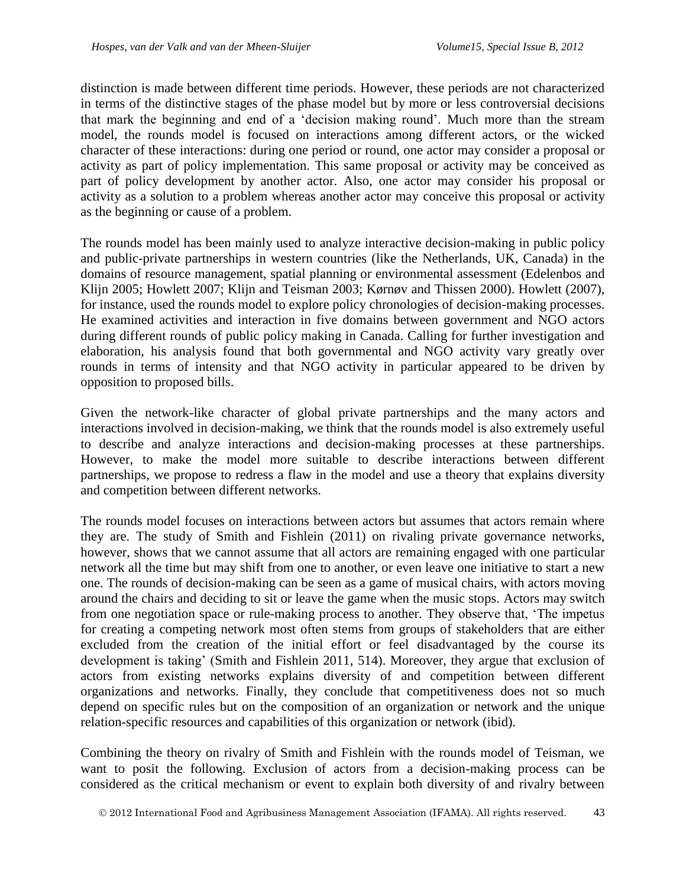distinction is made between different time periods. However, these periods are not characterized in terms of the distinctive stages of the phase model but by more or less controversial decisions that mark the beginning and end of a 'decision making round'. Much more than the stream model, the rounds model is focused on interactions among different actors, or the wicked character of these interactions: during one period or round, one actor may consider a proposal or activity as part of policy implementation. This same proposal or activity may be conceived as part of policy development by another actor. Also, one actor may consider his proposal or activity as a solution to a problem whereas another actor may conceive this proposal or activity as the beginning or cause of a problem.

The rounds model has been mainly used to analyze interactive decision-making in public policy and public-private partnerships in western countries (like the Netherlands, UK, Canada) in the domains of resource management, spatial planning or environmental assessment (Edelenbos and Klijn 2005; Howlett 2007; Klijn and Teisman 2003; Kørnøv and Thissen 2000). Howlett (2007), for instance, used the rounds model to explore policy chronologies of decision-making processes. He examined activities and interaction in five domains between government and NGO actors during different rounds of public policy making in Canada. Calling for further investigation and elaboration, his analysis found that both governmental and NGO activity vary greatly over rounds in terms of intensity and that NGO activity in particular appeared to be driven by opposition to proposed bills.

Given the network-like character of global private partnerships and the many actors and interactions involved in decision-making, we think that the rounds model is also extremely useful to describe and analyze interactions and decision-making processes at these partnerships. However, to make the model more suitable to describe interactions between different partnerships, we propose to redress a flaw in the model and use a theory that explains diversity and competition between different networks.

The rounds model focuses on interactions between actors but assumes that actors remain where they are. The study of Smith and Fishlein (2011) on rivaling private governance networks, however, shows that we cannot assume that all actors are remaining engaged with one particular network all the time but may shift from one to another, or even leave one initiative to start a new one. The rounds of decision-making can be seen as a game of musical chairs, with actors moving around the chairs and deciding to sit or leave the game when the music stops. Actors may switch from one negotiation space or rule-making process to another. They observe that, 'The impetus for creating a competing network most often stems from groups of stakeholders that are either excluded from the creation of the initial effort or feel disadvantaged by the course its development is taking' (Smith and Fishlein 2011, 514). Moreover, they argue that exclusion of actors from existing networks explains diversity of and competition between different organizations and networks. Finally, they conclude that competitiveness does not so much depend on specific rules but on the composition of an organization or network and the unique relation-specific resources and capabilities of this organization or network (ibid).

Combining the theory on rivalry of Smith and Fishlein with the rounds model of Teisman, we want to posit the following. Exclusion of actors from a decision-making process can be considered as the critical mechanism or event to explain both diversity of and rivalry between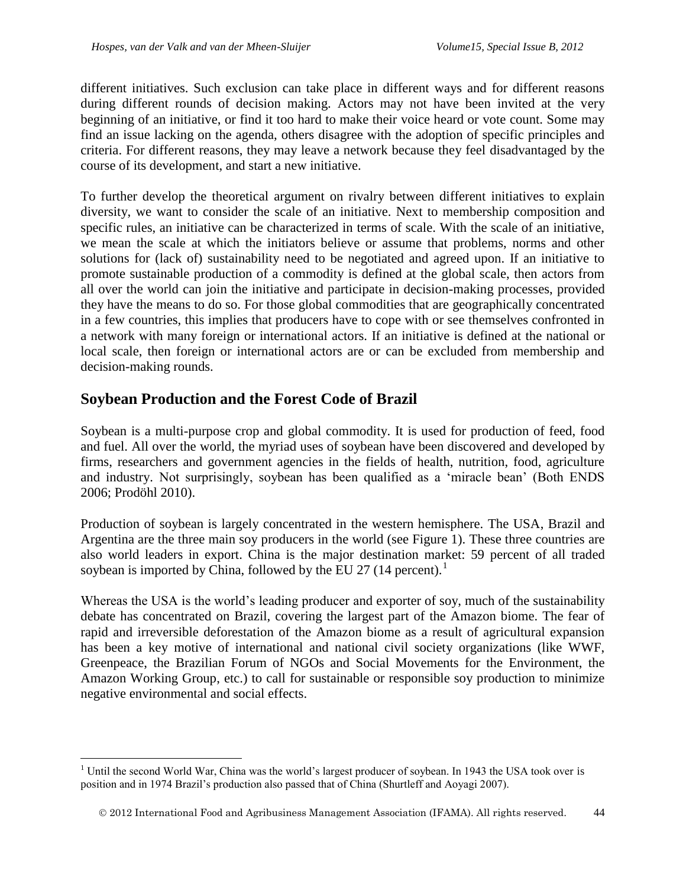different initiatives. Such exclusion can take place in different ways and for different reasons during different rounds of decision making. Actors may not have been invited at the very beginning of an initiative, or find it too hard to make their voice heard or vote count. Some may find an issue lacking on the agenda, others disagree with the adoption of specific principles and criteria. For different reasons, they may leave a network because they feel disadvantaged by the course of its development, and start a new initiative.

To further develop the theoretical argument on rivalry between different initiatives to explain diversity, we want to consider the scale of an initiative. Next to membership composition and specific rules, an initiative can be characterized in terms of scale. With the scale of an initiative, we mean the scale at which the initiators believe or assume that problems, norms and other solutions for (lack of) sustainability need to be negotiated and agreed upon. If an initiative to promote sustainable production of a commodity is defined at the global scale, then actors from all over the world can join the initiative and participate in decision-making processes, provided they have the means to do so. For those global commodities that are geographically concentrated in a few countries, this implies that producers have to cope with or see themselves confronted in a network with many foreign or international actors. If an initiative is defined at the national or local scale, then foreign or international actors are or can be excluded from membership and decision-making rounds.

# **Soybean Production and the Forest Code of Brazil**

 $\overline{a}$ 

Soybean is a multi-purpose crop and global commodity. It is used for production of feed, food and fuel. All over the world, the myriad uses of soybean have been discovered and developed by firms, researchers and government agencies in the fields of health, nutrition, food, agriculture and industry. Not surprisingly, soybean has been qualified as a 'miracle bean' (Both ENDS 2006; Prodöhl 2010).

Production of soybean is largely concentrated in the western hemisphere. The USA, Brazil and Argentina are the three main soy producers in the world (see Figure 1). These three countries are also world leaders in export. China is the major destination market: 59 percent of all traded soybean is imported by China, followed by the EU 27 (14 percent).<sup>1</sup>

Whereas the USA is the world's leading producer and exporter of soy, much of the sustainability debate has concentrated on Brazil, covering the largest part of the Amazon biome. The fear of rapid and irreversible deforestation of the Amazon biome as a result of agricultural expansion has been a key motive of international and national civil society organizations (like WWF, Greenpeace, the Brazilian Forum of NGOs and Social Movements for the Environment, the Amazon Working Group, etc.) to call for sustainable or responsible soy production to minimize negative environmental and social effects.

<sup>&</sup>lt;sup>1</sup> Until the second World War, China was the world's largest producer of soybean. In 1943 the USA took over is position and in 1974 Brazil's production also passed that of China (Shurtleff and Aoyagi 2007).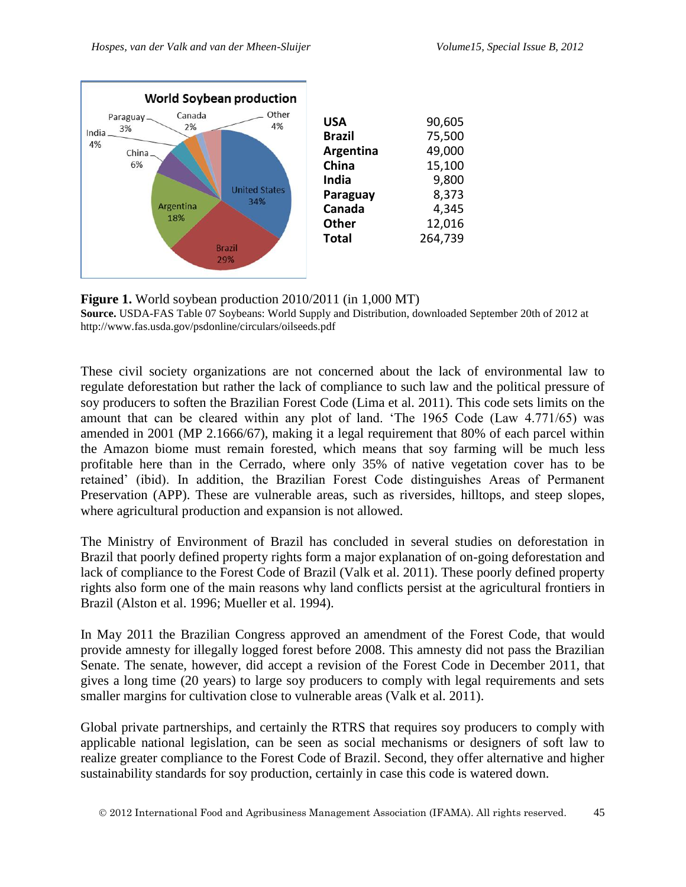

**Figure 1.** World soybean production 2010/2011 (in 1,000 MT) **Source.** USDA-FAS Table 07 Soybeans: World Supply and Distribution, downloaded September 20th of 2012 at http://www.fas.usda.gov/psdonline/circulars/oilseeds.pdf

These civil society organizations are not concerned about the lack of environmental law to regulate deforestation but rather the lack of compliance to such law and the political pressure of soy producers to soften the Brazilian Forest Code (Lima et al. 2011). This code sets limits on the amount that can be cleared within any plot of land. 'The 1965 Code (Law 4.771/65) was amended in 2001 (MP 2.1666/67), making it a legal requirement that 80% of each parcel within the Amazon biome must remain forested, which means that soy farming will be much less profitable here than in the Cerrado, where only 35% of native vegetation cover has to be retained' (ibid). In addition, the Brazilian Forest Code distinguishes Areas of Permanent Preservation (APP). These are vulnerable areas, such as riversides, hilltops, and steep slopes, where agricultural production and expansion is not allowed.

The Ministry of Environment of Brazil has concluded in several studies on deforestation in Brazil that poorly defined property rights form a major explanation of on-going deforestation and lack of compliance to the Forest Code of Brazil (Valk et al. 2011). These poorly defined property rights also form one of the main reasons why land conflicts persist at the agricultural frontiers in Brazil (Alston et al. 1996; Mueller et al. 1994).

In May 2011 the Brazilian Congress approved an amendment of the Forest Code, that would provide amnesty for illegally logged forest before 2008. This amnesty did not pass the Brazilian Senate. The senate, however, did accept a revision of the Forest Code in December 2011, that gives a long time (20 years) to large soy producers to comply with legal requirements and sets smaller margins for cultivation close to vulnerable areas (Valk et al. 2011).

Global private partnerships, and certainly the RTRS that requires soy producers to comply with applicable national legislation, can be seen as social mechanisms or designers of soft law to realize greater compliance to the Forest Code of Brazil. Second, they offer alternative and higher sustainability standards for soy production, certainly in case this code is watered down.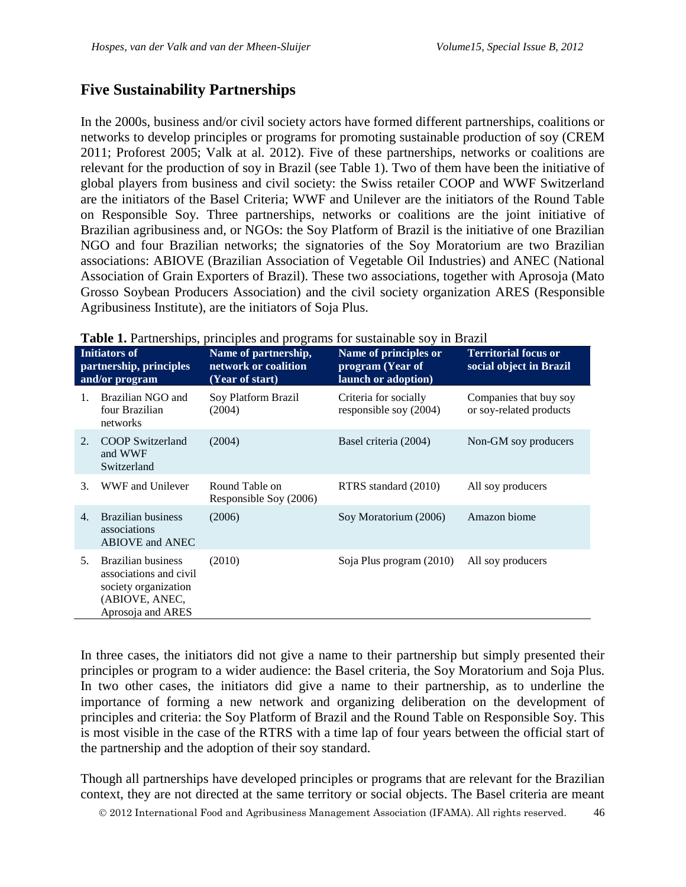## **Five Sustainability Partnerships**

In the 2000s, business and/or civil society actors have formed different partnerships, coalitions or networks to develop principles or programs for promoting sustainable production of soy (CREM 2011; Proforest 2005; Valk at al. 2012). Five of these partnerships, networks or coalitions are relevant for the production of soy in Brazil (see Table 1). Two of them have been the initiative of global players from business and civil society: the Swiss retailer COOP and WWF Switzerland are the initiators of the Basel Criteria; WWF and Unilever are the initiators of the Round Table on Responsible Soy. Three partnerships, networks or coalitions are the joint initiative of Brazilian agribusiness and, or NGOs: the Soy Platform of Brazil is the initiative of one Brazilian NGO and four Brazilian networks; the signatories of the Soy Moratorium are two Brazilian associations: ABIOVE (Brazilian Association of Vegetable Oil Industries) and ANEC (National Association of Grain Exporters of Brazil). These two associations, together with Aprosoja (Mato Grosso Soybean Producers Association) and the civil society organization ARES (Responsible Agribusiness Institute), are the initiators of Soja Plus.

| <b>Initiators of</b><br>partnership, principles<br>and/or program |                                                                                                                    | Name of partnership,<br>network or coalition<br>(Year of start) | Name of principles or<br>program (Year of<br>launch or adoption) | <b>Territorial focus or</b><br>social object in Brazil |
|-------------------------------------------------------------------|--------------------------------------------------------------------------------------------------------------------|-----------------------------------------------------------------|------------------------------------------------------------------|--------------------------------------------------------|
| $\mathbf{1}$                                                      | Brazilian NGO and<br>four Brazilian<br>networks                                                                    | Soy Platform Brazil<br>(2004)                                   | Criteria for socially<br>responsible soy (2004)                  | Companies that buy soy<br>or soy-related products      |
| 2.                                                                | <b>COOP</b> Switzerland<br>and WWF<br>Switzerland                                                                  | (2004)                                                          | Basel criteria (2004)                                            | Non-GM soy producers                                   |
| 3.                                                                | WWF and Unilever                                                                                                   | Round Table on<br>Responsible Soy (2006)                        | RTRS standard (2010)                                             | All soy producers                                      |
| 4.                                                                | Brazilian business<br>associations<br><b>ABIOVE and ANEC</b>                                                       | (2006)                                                          | Soy Moratorium (2006)                                            | Amazon biome                                           |
| 5.                                                                | <b>Brazilian business</b><br>associations and civil<br>society organization<br>(ABIOVE, ANEC,<br>Aprosoja and ARES | (2010)                                                          | Soja Plus program (2010)                                         | All soy producers                                      |

**Table 1.** Partnerships, principles and programs for sustainable soy in Brazil

In three cases, the initiators did not give a name to their partnership but simply presented their principles or program to a wider audience: the Basel criteria, the Soy Moratorium and Soja Plus. In two other cases, the initiators did give a name to their partnership, as to underline the importance of forming a new network and organizing deliberation on the development of principles and criteria: the Soy Platform of Brazil and the Round Table on Responsible Soy. This is most visible in the case of the RTRS with a time lap of four years between the official start of the partnership and the adoption of their soy standard.

Though all partnerships have developed principles or programs that are relevant for the Brazilian context, they are not directed at the same territory or social objects. The Basel criteria are meant

2012 International Food and Agribusiness Management Association (IFAMA). All rights reserved. 46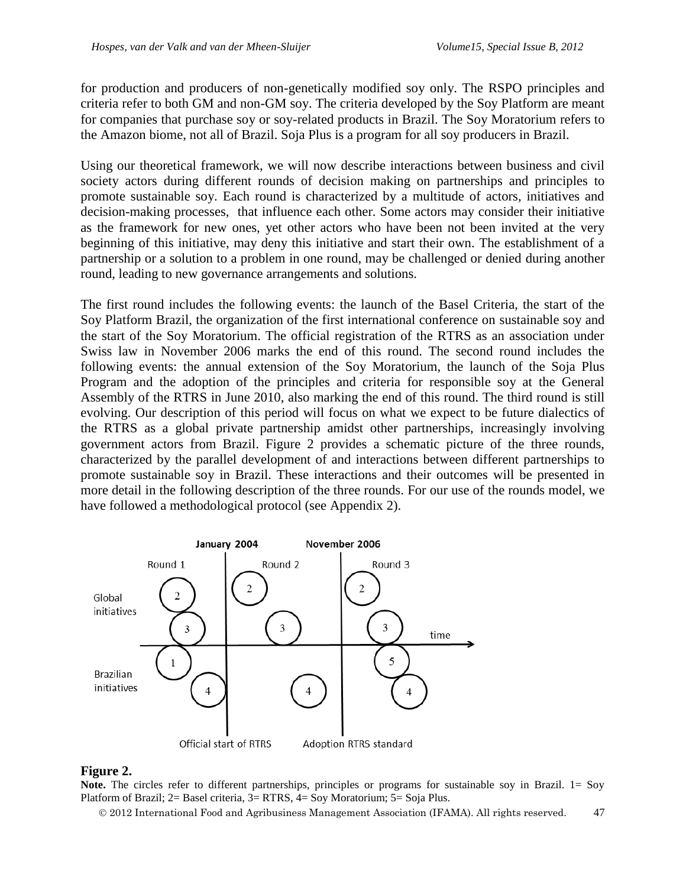for production and producers of non-genetically modified soy only. The RSPO principles and criteria refer to both GM and non-GM soy. The criteria developed by the Soy Platform are meant for companies that purchase soy or soy-related products in Brazil. The Soy Moratorium refers to the Amazon biome, not all of Brazil. Soja Plus is a program for all soy producers in Brazil.

Using our theoretical framework, we will now describe interactions between business and civil society actors during different rounds of decision making on partnerships and principles to promote sustainable soy. Each round is characterized by a multitude of actors, initiatives and decision-making processes, that influence each other. Some actors may consider their initiative as the framework for new ones, yet other actors who have been not been invited at the very beginning of this initiative, may deny this initiative and start their own. The establishment of a partnership or a solution to a problem in one round, may be challenged or denied during another round, leading to new governance arrangements and solutions.

The first round includes the following events: the launch of the Basel Criteria, the start of the Soy Platform Brazil, the organization of the first international conference on sustainable soy and the start of the Soy Moratorium. The official registration of the RTRS as an association under Swiss law in November 2006 marks the end of this round. The second round includes the following events: the annual extension of the Soy Moratorium, the launch of the Soja Plus Program and the adoption of the principles and criteria for responsible soy at the General Assembly of the RTRS in June 2010, also marking the end of this round. The third round is still evolving. Our description of this period will focus on what we expect to be future dialectics of the RTRS as a global private partnership amidst other partnerships, increasingly involving government actors from Brazil. Figure 2 provides a schematic picture of the three rounds, characterized by the parallel development of and interactions between different partnerships to promote sustainable soy in Brazil. These interactions and their outcomes will be presented in more detail in the following description of the three rounds. For our use of the rounds model, we have followed a methodological protocol (see Appendix 2).



### **Figure 2.**

**Note.** The circles refer to different partnerships, principles or programs for sustainable soy in Brazil. 1= Soy Platform of Brazil; 2= Basel criteria, 3= RTRS, 4= Soy Moratorium; 5= Soja Plus.

2012 International Food and Agribusiness Management Association (IFAMA). All rights reserved. 47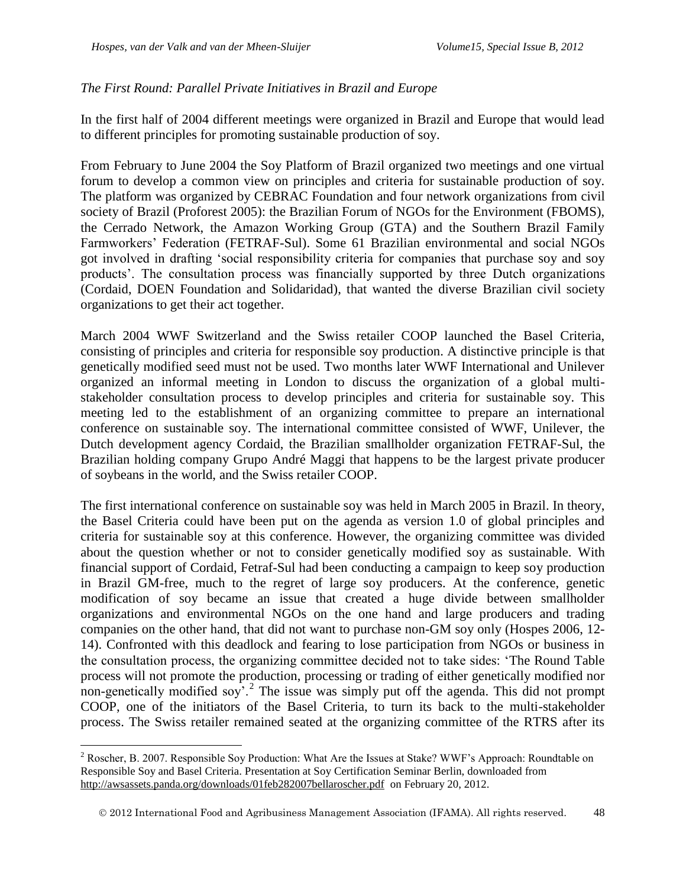$\overline{a}$ 

### *The First Round: Parallel Private Initiatives in Brazil and Europe*

In the first half of 2004 different meetings were organized in Brazil and Europe that would lead to different principles for promoting sustainable production of soy.

From February to June 2004 the Soy Platform of Brazil organized two meetings and one virtual forum to develop a common view on principles and criteria for sustainable production of soy. The platform was organized by CEBRAC Foundation and four network organizations from civil society of Brazil (Proforest 2005): the Brazilian Forum of NGOs for the Environment (FBOMS), the Cerrado Network, the Amazon Working Group (GTA) and the Southern Brazil Family Farmworkers' Federation (FETRAF-Sul). Some 61 Brazilian environmental and social NGOs got involved in drafting 'social responsibility criteria for companies that purchase soy and soy products'. The consultation process was financially supported by three Dutch organizations (Cordaid, DOEN Foundation and Solidaridad), that wanted the diverse Brazilian civil society organizations to get their act together.

March 2004 WWF Switzerland and the Swiss retailer COOP launched the Basel Criteria, consisting of principles and criteria for responsible soy production. A distinctive principle is that genetically modified seed must not be used. Two months later WWF International and Unilever organized an informal meeting in London to discuss the organization of a global multistakeholder consultation process to develop principles and criteria for sustainable soy. This meeting led to the establishment of an organizing committee to prepare an international conference on sustainable soy. The international committee consisted of WWF, Unilever, the Dutch development agency Cordaid, the Brazilian smallholder organization FETRAF-Sul, the Brazilian holding company Grupo André Maggi that happens to be the largest private producer of soybeans in the world, and the Swiss retailer COOP.

The first international conference on sustainable soy was held in March 2005 in Brazil. In theory, the Basel Criteria could have been put on the agenda as version 1.0 of global principles and criteria for sustainable soy at this conference. However, the organizing committee was divided about the question whether or not to consider genetically modified soy as sustainable. With financial support of Cordaid, Fetraf-Sul had been conducting a campaign to keep soy production in Brazil GM-free, much to the regret of large soy producers. At the conference, genetic modification of soy became an issue that created a huge divide between smallholder organizations and environmental NGOs on the one hand and large producers and trading companies on the other hand, that did not want to purchase non-GM soy only (Hospes 2006, 12- 14). Confronted with this deadlock and fearing to lose participation from NGOs or business in the consultation process, the organizing committee decided not to take sides: 'The Round Table process will not promote the production, processing or trading of either genetically modified nor non-genetically modified soy<sup>'</sup>.<sup>2</sup> The issue was simply put off the agenda. This did not prompt COOP, one of the initiators of the Basel Criteria, to turn its back to the multi-stakeholder process. The Swiss retailer remained seated at the organizing committee of the RTRS after its

<sup>&</sup>lt;sup>2</sup> Roscher, B. 2007. Responsible Soy Production: What Are the Issues at Stake? WWF's Approach: Roundtable on Responsible Soy and Basel Criteria. Presentation at Soy Certification Seminar Berlin, downloaded from <http://awsassets.panda.org/downloads/01feb282007bellaroscher.pdf>on February 20, 2012.

2012 International Food and Agribusiness Management Association (IFAMA). All rights reserved. 48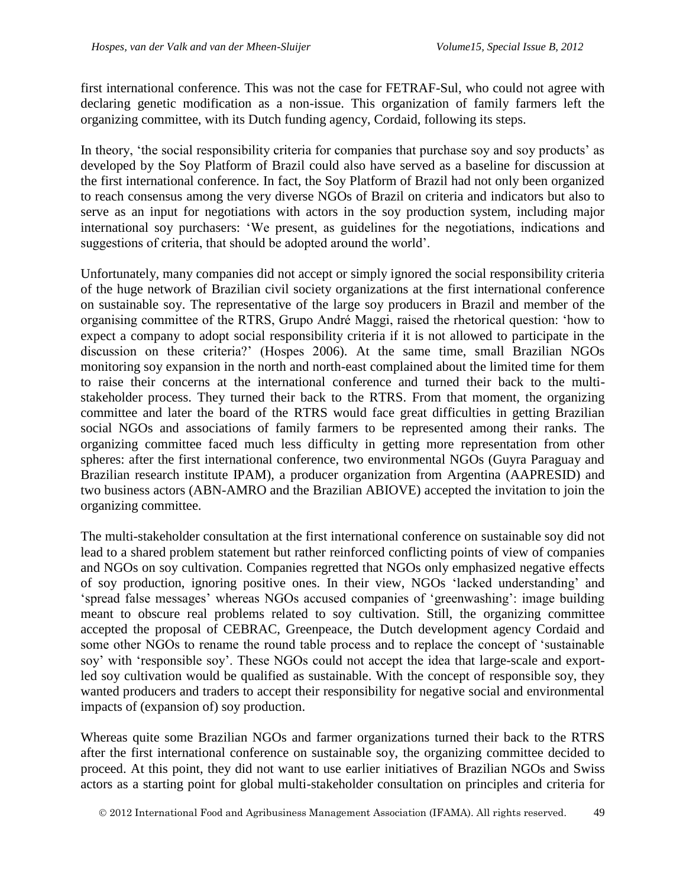first international conference. This was not the case for FETRAF-Sul, who could not agree with declaring genetic modification as a non-issue. This organization of family farmers left the organizing committee, with its Dutch funding agency, Cordaid, following its steps.

In theory, 'the social responsibility criteria for companies that purchase soy and soy products' as developed by the Soy Platform of Brazil could also have served as a baseline for discussion at the first international conference. In fact, the Soy Platform of Brazil had not only been organized to reach consensus among the very diverse NGOs of Brazil on criteria and indicators but also to serve as an input for negotiations with actors in the soy production system, including major international soy purchasers: 'We present, as guidelines for the negotiations, indications and suggestions of criteria, that should be adopted around the world'.

Unfortunately, many companies did not accept or simply ignored the social responsibility criteria of the huge network of Brazilian civil society organizations at the first international conference on sustainable soy. The representative of the large soy producers in Brazil and member of the organising committee of the RTRS, Grupo André Maggi, raised the rhetorical question: 'how to expect a company to adopt social responsibility criteria if it is not allowed to participate in the discussion on these criteria?' (Hospes 2006). At the same time, small Brazilian NGOs monitoring soy expansion in the north and north-east complained about the limited time for them to raise their concerns at the international conference and turned their back to the multistakeholder process. They turned their back to the RTRS. From that moment, the organizing committee and later the board of the RTRS would face great difficulties in getting Brazilian social NGOs and associations of family farmers to be represented among their ranks. The organizing committee faced much less difficulty in getting more representation from other spheres: after the first international conference, two environmental NGOs (Guyra Paraguay and Brazilian research institute IPAM), a producer organization from Argentina (AAPRESID) and two business actors (ABN-AMRO and the Brazilian ABIOVE) accepted the invitation to join the organizing committee.

The multi-stakeholder consultation at the first international conference on sustainable soy did not lead to a shared problem statement but rather reinforced conflicting points of view of companies and NGOs on soy cultivation. Companies regretted that NGOs only emphasized negative effects of soy production, ignoring positive ones. In their view, NGOs 'lacked understanding' and 'spread false messages' whereas NGOs accused companies of 'greenwashing': image building meant to obscure real problems related to soy cultivation. Still, the organizing committee accepted the proposal of CEBRAC, Greenpeace, the Dutch development agency Cordaid and some other NGOs to rename the round table process and to replace the concept of 'sustainable soy' with 'responsible soy'. These NGOs could not accept the idea that large-scale and exportled soy cultivation would be qualified as sustainable. With the concept of responsible soy, they wanted producers and traders to accept their responsibility for negative social and environmental impacts of (expansion of) soy production.

Whereas quite some Brazilian NGOs and farmer organizations turned their back to the RTRS after the first international conference on sustainable soy, the organizing committee decided to proceed. At this point, they did not want to use earlier initiatives of Brazilian NGOs and Swiss actors as a starting point for global multi-stakeholder consultation on principles and criteria for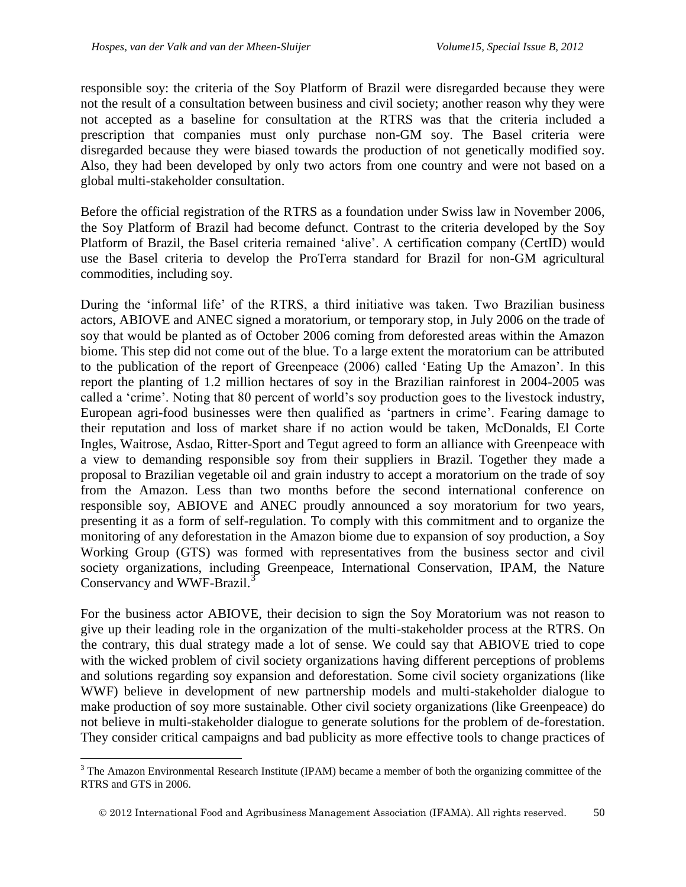$\overline{a}$ 

responsible soy: the criteria of the Soy Platform of Brazil were disregarded because they were not the result of a consultation between business and civil society; another reason why they were not accepted as a baseline for consultation at the RTRS was that the criteria included a prescription that companies must only purchase non-GM soy. The Basel criteria were disregarded because they were biased towards the production of not genetically modified soy. Also, they had been developed by only two actors from one country and were not based on a global multi-stakeholder consultation.

Before the official registration of the RTRS as a foundation under Swiss law in November 2006, the Soy Platform of Brazil had become defunct. Contrast to the criteria developed by the Soy Platform of Brazil, the Basel criteria remained 'alive'. A certification company (CertID) would use the Basel criteria to develop the ProTerra standard for Brazil for non-GM agricultural commodities, including soy.

During the 'informal life' of the RTRS, a third initiative was taken. Two Brazilian business actors, ABIOVE and ANEC signed a moratorium, or temporary stop, in July 2006 on the trade of soy that would be planted as of October 2006 coming from deforested areas within the Amazon biome. This step did not come out of the blue. To a large extent the moratorium can be attributed to the publication of the report of Greenpeace (2006) called 'Eating Up the Amazon'. In this report the planting of 1.2 million hectares of soy in the Brazilian rainforest in 2004-2005 was called a 'crime'. Noting that 80 percent of world's soy production goes to the livestock industry, European agri-food businesses were then qualified as 'partners in crime'. Fearing damage to their reputation and loss of market share if no action would be taken, McDonalds, El Corte Ingles, Waitrose, Asdao, Ritter-Sport and Tegut agreed to form an alliance with Greenpeace with a view to demanding responsible soy from their suppliers in Brazil. Together they made a proposal to Brazilian vegetable oil and grain industry to accept a moratorium on the trade of soy from the Amazon. Less than two months before the second international conference on responsible soy, ABIOVE and ANEC proudly announced a soy moratorium for two years, presenting it as a form of self-regulation. To comply with this commitment and to organize the monitoring of any deforestation in the Amazon biome due to expansion of soy production, a Soy Working Group (GTS) was formed with representatives from the business sector and civil society organizations, including Greenpeace, International Conservation, IPAM, the Nature Conservancy and WWF-Brazil.<sup>3</sup>

For the business actor ABIOVE, their decision to sign the Soy Moratorium was not reason to give up their leading role in the organization of the multi-stakeholder process at the RTRS. On the contrary, this dual strategy made a lot of sense. We could say that ABIOVE tried to cope with the wicked problem of civil society organizations having different perceptions of problems and solutions regarding soy expansion and deforestation. Some civil society organizations (like WWF) believe in development of new partnership models and multi-stakeholder dialogue to make production of soy more sustainable. Other civil society organizations (like Greenpeace) do not believe in multi-stakeholder dialogue to generate solutions for the problem of de-forestation. They consider critical campaigns and bad publicity as more effective tools to change practices of

<sup>&</sup>lt;sup>3</sup> The Amazon Environmental Research Institute (IPAM) became a member of both the organizing committee of the RTRS and GTS in 2006.

2012 International Food and Agribusiness Management Association (IFAMA). All rights reserved. 50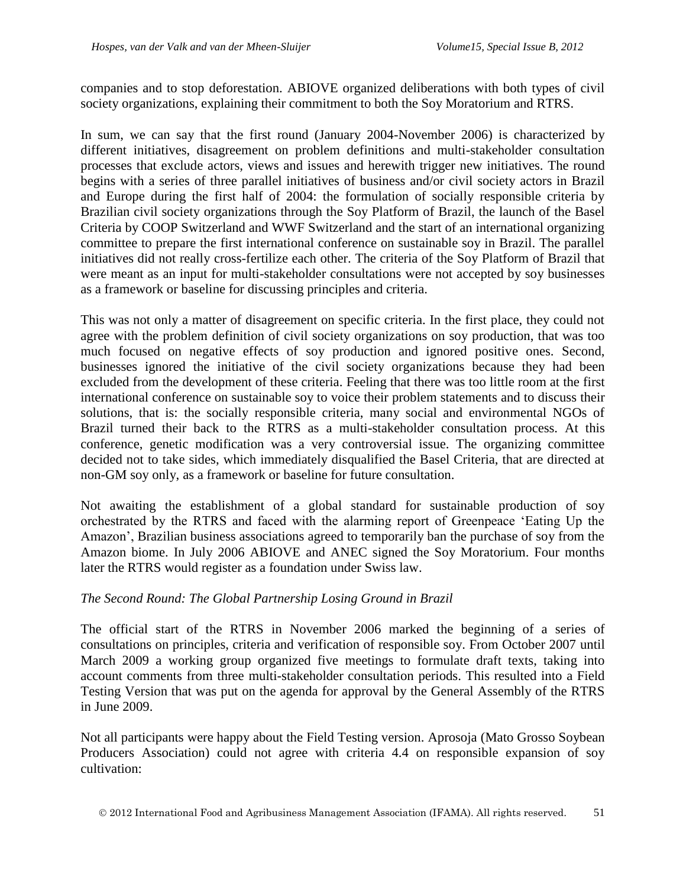companies and to stop deforestation. ABIOVE organized deliberations with both types of civil society organizations, explaining their commitment to both the Soy Moratorium and RTRS.

In sum, we can say that the first round (January 2004-November 2006) is characterized by different initiatives, disagreement on problem definitions and multi-stakeholder consultation processes that exclude actors, views and issues and herewith trigger new initiatives. The round begins with a series of three parallel initiatives of business and/or civil society actors in Brazil and Europe during the first half of 2004: the formulation of socially responsible criteria by Brazilian civil society organizations through the Soy Platform of Brazil, the launch of the Basel Criteria by COOP Switzerland and WWF Switzerland and the start of an international organizing committee to prepare the first international conference on sustainable soy in Brazil. The parallel initiatives did not really cross-fertilize each other. The criteria of the Soy Platform of Brazil that were meant as an input for multi-stakeholder consultations were not accepted by soy businesses as a framework or baseline for discussing principles and criteria.

This was not only a matter of disagreement on specific criteria. In the first place, they could not agree with the problem definition of civil society organizations on soy production, that was too much focused on negative effects of soy production and ignored positive ones. Second, businesses ignored the initiative of the civil society organizations because they had been excluded from the development of these criteria. Feeling that there was too little room at the first international conference on sustainable soy to voice their problem statements and to discuss their solutions, that is: the socially responsible criteria, many social and environmental NGOs of Brazil turned their back to the RTRS as a multi-stakeholder consultation process. At this conference, genetic modification was a very controversial issue. The organizing committee decided not to take sides, which immediately disqualified the Basel Criteria, that are directed at non-GM soy only, as a framework or baseline for future consultation.

Not awaiting the establishment of a global standard for sustainable production of soy orchestrated by the RTRS and faced with the alarming report of Greenpeace 'Eating Up the Amazon', Brazilian business associations agreed to temporarily ban the purchase of soy from the Amazon biome. In July 2006 ABIOVE and ANEC signed the Soy Moratorium. Four months later the RTRS would register as a foundation under Swiss law.

### *The Second Round: The Global Partnership Losing Ground in Brazil*

The official start of the RTRS in November 2006 marked the beginning of a series of consultations on principles, criteria and verification of responsible soy. From October 2007 until March 2009 a working group organized five meetings to formulate draft texts, taking into account comments from three multi-stakeholder consultation periods. This resulted into a Field Testing Version that was put on the agenda for approval by the General Assembly of the RTRS in June 2009.

Not all participants were happy about the Field Testing version. Aprosoja (Mato Grosso Soybean Producers Association) could not agree with criteria 4.4 on responsible expansion of soy cultivation: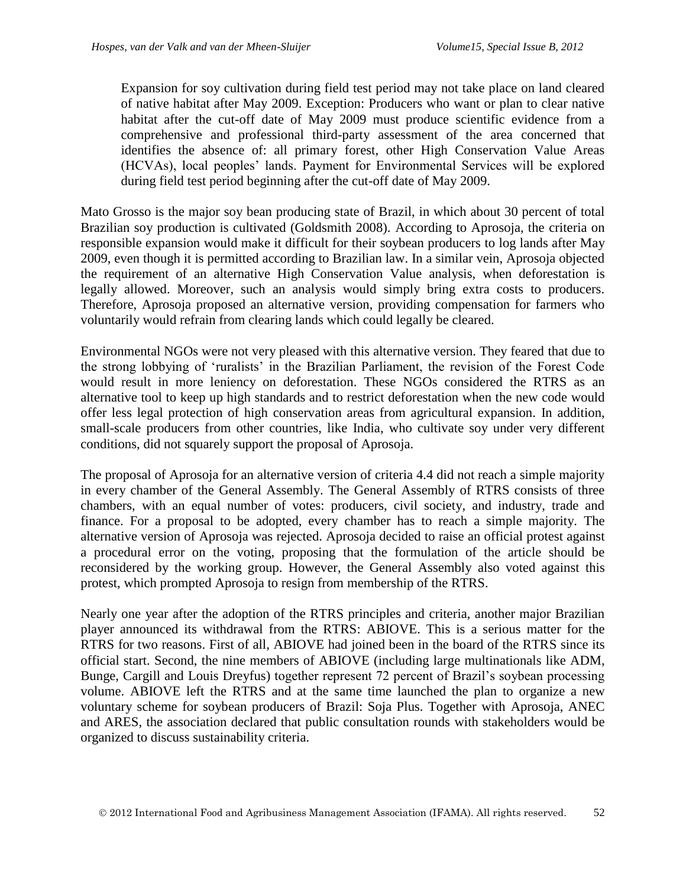Expansion for soy cultivation during field test period may not take place on land cleared of native habitat after May 2009. Exception: Producers who want or plan to clear native habitat after the cut-off date of May 2009 must produce scientific evidence from a comprehensive and professional third-party assessment of the area concerned that identifies the absence of: all primary forest, other High Conservation Value Areas (HCVAs), local peoples' lands. Payment for Environmental Services will be explored during field test period beginning after the cut-off date of May 2009.

Mato Grosso is the major soy bean producing state of Brazil, in which about 30 percent of total Brazilian soy production is cultivated (Goldsmith 2008). According to Aprosoja, the criteria on responsible expansion would make it difficult for their soybean producers to log lands after May 2009, even though it is permitted according to Brazilian law. In a similar vein, Aprosoja objected the requirement of an alternative High Conservation Value analysis, when deforestation is legally allowed. Moreover, such an analysis would simply bring extra costs to producers. Therefore, Aprosoja proposed an alternative version, providing compensation for farmers who voluntarily would refrain from clearing lands which could legally be cleared.

Environmental NGOs were not very pleased with this alternative version. They feared that due to the strong lobbying of 'ruralists' in the Brazilian Parliament, the revision of the Forest Code would result in more leniency on deforestation. These NGOs considered the RTRS as an alternative tool to keep up high standards and to restrict deforestation when the new code would offer less legal protection of high conservation areas from agricultural expansion. In addition, small-scale producers from other countries, like India, who cultivate soy under very different conditions, did not squarely support the proposal of Aprosoja.

The proposal of Aprosoja for an alternative version of criteria 4.4 did not reach a simple majority in every chamber of the General Assembly. The General Assembly of RTRS consists of three chambers, with an equal number of votes: producers, civil society, and industry, trade and finance. For a proposal to be adopted, every chamber has to reach a simple majority. The alternative version of Aprosoja was rejected. Aprosoja decided to raise an official protest against a procedural error on the voting, proposing that the formulation of the article should be reconsidered by the working group. However, the General Assembly also voted against this protest, which prompted Aprosoja to resign from membership of the RTRS.

Nearly one year after the adoption of the RTRS principles and criteria, another major Brazilian player announced its withdrawal from the RTRS: ABIOVE. This is a serious matter for the RTRS for two reasons. First of all, ABIOVE had joined been in the board of the RTRS since its official start. Second, the nine members of ABIOVE (including large multinationals like ADM, Bunge, Cargill and Louis Dreyfus) together represent 72 percent of Brazil's soybean processing volume. ABIOVE left the RTRS and at the same time launched the plan to organize a new voluntary scheme for soybean producers of Brazil: Soja Plus. Together with Aprosoja, ANEC and ARES, the association declared that public consultation rounds with stakeholders would be organized to discuss sustainability criteria.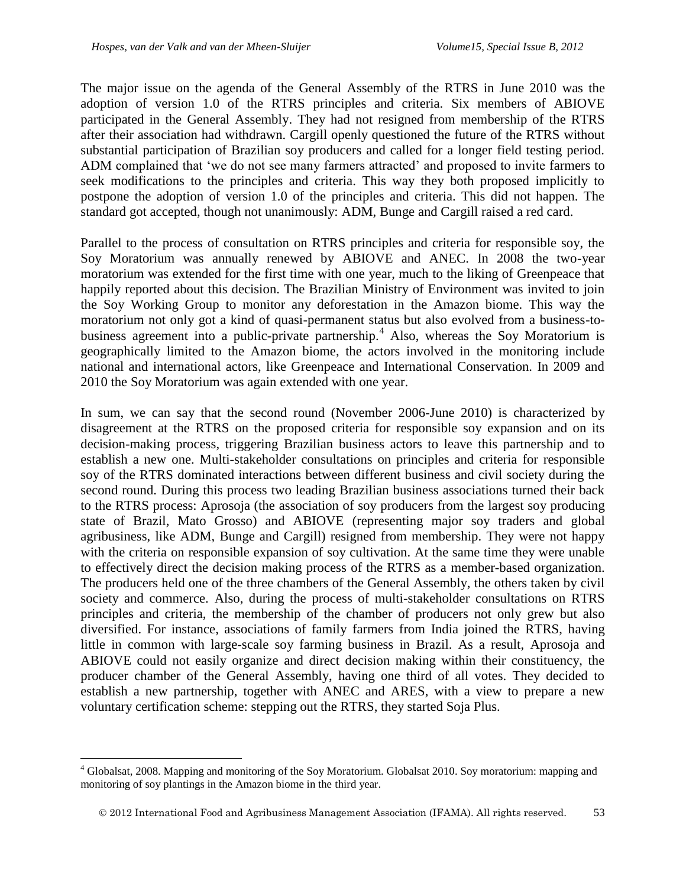$\overline{a}$ 

The major issue on the agenda of the General Assembly of the RTRS in June 2010 was the adoption of version 1.0 of the RTRS principles and criteria. Six members of ABIOVE participated in the General Assembly. They had not resigned from membership of the RTRS after their association had withdrawn. Cargill openly questioned the future of the RTRS without substantial participation of Brazilian soy producers and called for a longer field testing period. ADM complained that 'we do not see many farmers attracted' and proposed to invite farmers to seek modifications to the principles and criteria. This way they both proposed implicitly to postpone the adoption of version 1.0 of the principles and criteria. This did not happen. The standard got accepted, though not unanimously: ADM, Bunge and Cargill raised a red card.

Parallel to the process of consultation on RTRS principles and criteria for responsible soy, the Soy Moratorium was annually renewed by ABIOVE and ANEC. In 2008 the two-year moratorium was extended for the first time with one year, much to the liking of Greenpeace that happily reported about this decision. The Brazilian Ministry of Environment was invited to join the Soy Working Group to monitor any deforestation in the Amazon biome. This way the moratorium not only got a kind of quasi-permanent status but also evolved from a business-tobusiness agreement into a public-private partnership.<sup>4</sup> Also, whereas the Soy Moratorium is geographically limited to the Amazon biome, the actors involved in the monitoring include national and international actors, like Greenpeace and International Conservation. In 2009 and 2010 the Soy Moratorium was again extended with one year.

In sum, we can say that the second round (November 2006-June 2010) is characterized by disagreement at the RTRS on the proposed criteria for responsible soy expansion and on its decision-making process, triggering Brazilian business actors to leave this partnership and to establish a new one. Multi-stakeholder consultations on principles and criteria for responsible soy of the RTRS dominated interactions between different business and civil society during the second round. During this process two leading Brazilian business associations turned their back to the RTRS process: Aprosoja (the association of soy producers from the largest soy producing state of Brazil, Mato Grosso) and ABIOVE (representing major soy traders and global agribusiness, like ADM, Bunge and Cargill) resigned from membership. They were not happy with the criteria on responsible expansion of soy cultivation. At the same time they were unable to effectively direct the decision making process of the RTRS as a member-based organization. The producers held one of the three chambers of the General Assembly, the others taken by civil society and commerce. Also, during the process of multi-stakeholder consultations on RTRS principles and criteria, the membership of the chamber of producers not only grew but also diversified. For instance, associations of family farmers from India joined the RTRS, having little in common with large-scale soy farming business in Brazil. As a result, Aprosoja and ABIOVE could not easily organize and direct decision making within their constituency, the producer chamber of the General Assembly, having one third of all votes. They decided to establish a new partnership, together with ANEC and ARES, with a view to prepare a new voluntary certification scheme: stepping out the RTRS, they started Soja Plus.

<sup>4</sup> Globalsat, 2008. Mapping and monitoring of the Soy Moratorium. Globalsat 2010. Soy moratorium: mapping and monitoring of soy plantings in the Amazon biome in the third year.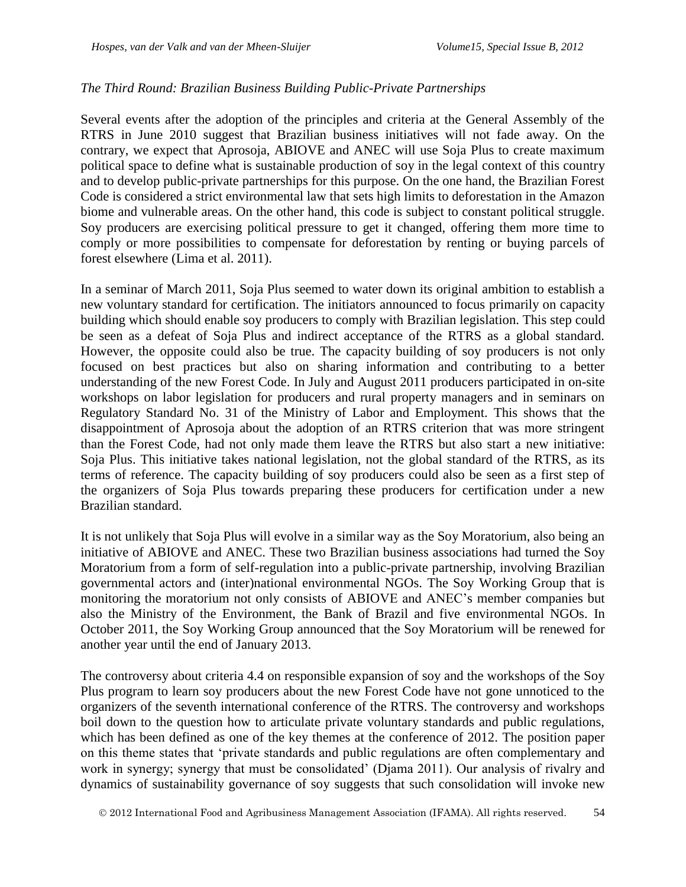### *The Third Round: Brazilian Business Building Public-Private Partnerships*

Several events after the adoption of the principles and criteria at the General Assembly of the RTRS in June 2010 suggest that Brazilian business initiatives will not fade away. On the contrary, we expect that Aprosoja, ABIOVE and ANEC will use Soja Plus to create maximum political space to define what is sustainable production of soy in the legal context of this country and to develop public-private partnerships for this purpose. On the one hand, the Brazilian Forest Code is considered a strict environmental law that sets high limits to deforestation in the Amazon biome and vulnerable areas. On the other hand, this code is subject to constant political struggle. Soy producers are exercising political pressure to get it changed, offering them more time to comply or more possibilities to compensate for deforestation by renting or buying parcels of forest elsewhere (Lima et al. 2011).

In a seminar of March 2011, Soja Plus seemed to water down its original ambition to establish a new voluntary standard for certification. The initiators announced to focus primarily on capacity building which should enable soy producers to comply with Brazilian legislation. This step could be seen as a defeat of Soja Plus and indirect acceptance of the RTRS as a global standard. However, the opposite could also be true. The capacity building of soy producers is not only focused on best practices but also on sharing information and contributing to a better understanding of the new Forest Code. In July and August 2011 producers participated in on-site workshops on labor legislation for producers and rural property managers and in seminars on Regulatory Standard No. 31 of the Ministry of Labor and Employment. This shows that the disappointment of Aprosoja about the adoption of an RTRS criterion that was more stringent than the Forest Code, had not only made them leave the RTRS but also start a new initiative: Soja Plus. This initiative takes national legislation, not the global standard of the RTRS, as its terms of reference. The capacity building of soy producers could also be seen as a first step of the organizers of Soja Plus towards preparing these producers for certification under a new Brazilian standard.

It is not unlikely that Soja Plus will evolve in a similar way as the Soy Moratorium, also being an initiative of ABIOVE and ANEC. These two Brazilian business associations had turned the Soy Moratorium from a form of self-regulation into a public-private partnership, involving Brazilian governmental actors and (inter)national environmental NGOs. The Soy Working Group that is monitoring the moratorium not only consists of ABIOVE and ANEC's member companies but also the Ministry of the Environment, the Bank of Brazil and five environmental NGOs. In October 2011, the Soy Working Group announced that the Soy Moratorium will be renewed for another year until the end of January 2013.

The controversy about criteria 4.4 on responsible expansion of soy and the workshops of the Soy Plus program to learn soy producers about the new Forest Code have not gone unnoticed to the organizers of the seventh international conference of the RTRS. The controversy and workshops boil down to the question how to articulate private voluntary standards and public regulations, which has been defined as one of the key themes at the conference of 2012. The position paper on this theme states that 'private standards and public regulations are often complementary and work in synergy; synergy that must be consolidated' (Djama 2011). Our analysis of rivalry and dynamics of sustainability governance of soy suggests that such consolidation will invoke new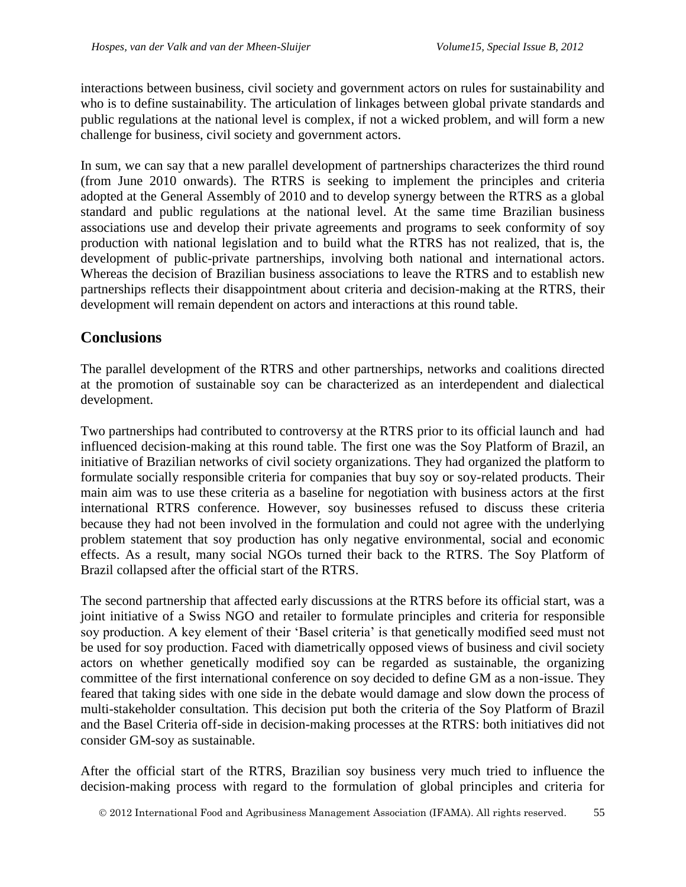interactions between business, civil society and government actors on rules for sustainability and who is to define sustainability. The articulation of linkages between global private standards and public regulations at the national level is complex, if not a wicked problem, and will form a new challenge for business, civil society and government actors.

In sum, we can say that a new parallel development of partnerships characterizes the third round (from June 2010 onwards). The RTRS is seeking to implement the principles and criteria adopted at the General Assembly of 2010 and to develop synergy between the RTRS as a global standard and public regulations at the national level. At the same time Brazilian business associations use and develop their private agreements and programs to seek conformity of soy production with national legislation and to build what the RTRS has not realized, that is, the development of public-private partnerships, involving both national and international actors. Whereas the decision of Brazilian business associations to leave the RTRS and to establish new partnerships reflects their disappointment about criteria and decision-making at the RTRS, their development will remain dependent on actors and interactions at this round table.

# **Conclusions**

The parallel development of the RTRS and other partnerships, networks and coalitions directed at the promotion of sustainable soy can be characterized as an interdependent and dialectical development.

Two partnerships had contributed to controversy at the RTRS prior to its official launch and had influenced decision-making at this round table. The first one was the Soy Platform of Brazil, an initiative of Brazilian networks of civil society organizations. They had organized the platform to formulate socially responsible criteria for companies that buy soy or soy-related products. Their main aim was to use these criteria as a baseline for negotiation with business actors at the first international RTRS conference. However, soy businesses refused to discuss these criteria because they had not been involved in the formulation and could not agree with the underlying problem statement that soy production has only negative environmental, social and economic effects. As a result, many social NGOs turned their back to the RTRS. The Soy Platform of Brazil collapsed after the official start of the RTRS.

The second partnership that affected early discussions at the RTRS before its official start, was a joint initiative of a Swiss NGO and retailer to formulate principles and criteria for responsible soy production. A key element of their 'Basel criteria' is that genetically modified seed must not be used for soy production. Faced with diametrically opposed views of business and civil society actors on whether genetically modified soy can be regarded as sustainable, the organizing committee of the first international conference on soy decided to define GM as a non-issue. They feared that taking sides with one side in the debate would damage and slow down the process of multi-stakeholder consultation. This decision put both the criteria of the Soy Platform of Brazil and the Basel Criteria off-side in decision-making processes at the RTRS: both initiatives did not consider GM-soy as sustainable.

After the official start of the RTRS, Brazilian soy business very much tried to influence the decision-making process with regard to the formulation of global principles and criteria for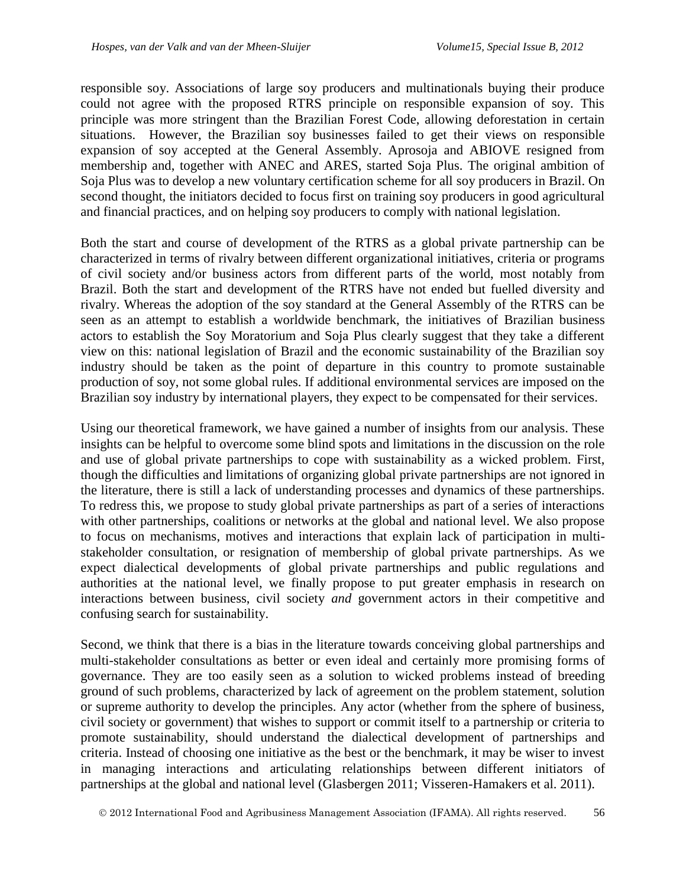responsible soy. Associations of large soy producers and multinationals buying their produce could not agree with the proposed RTRS principle on responsible expansion of soy. This principle was more stringent than the Brazilian Forest Code, allowing deforestation in certain situations. However, the Brazilian soy businesses failed to get their views on responsible expansion of soy accepted at the General Assembly. Aprosoja and ABIOVE resigned from membership and, together with ANEC and ARES, started Soja Plus. The original ambition of Soja Plus was to develop a new voluntary certification scheme for all soy producers in Brazil. On second thought, the initiators decided to focus first on training soy producers in good agricultural and financial practices, and on helping soy producers to comply with national legislation.

Both the start and course of development of the RTRS as a global private partnership can be characterized in terms of rivalry between different organizational initiatives, criteria or programs of civil society and/or business actors from different parts of the world, most notably from Brazil. Both the start and development of the RTRS have not ended but fuelled diversity and rivalry. Whereas the adoption of the soy standard at the General Assembly of the RTRS can be seen as an attempt to establish a worldwide benchmark, the initiatives of Brazilian business actors to establish the Soy Moratorium and Soja Plus clearly suggest that they take a different view on this: national legislation of Brazil and the economic sustainability of the Brazilian soy industry should be taken as the point of departure in this country to promote sustainable production of soy, not some global rules. If additional environmental services are imposed on the Brazilian soy industry by international players, they expect to be compensated for their services.

Using our theoretical framework, we have gained a number of insights from our analysis. These insights can be helpful to overcome some blind spots and limitations in the discussion on the role and use of global private partnerships to cope with sustainability as a wicked problem. First, though the difficulties and limitations of organizing global private partnerships are not ignored in the literature, there is still a lack of understanding processes and dynamics of these partnerships. To redress this, we propose to study global private partnerships as part of a series of interactions with other partnerships, coalitions or networks at the global and national level. We also propose to focus on mechanisms, motives and interactions that explain lack of participation in multistakeholder consultation, or resignation of membership of global private partnerships. As we expect dialectical developments of global private partnerships and public regulations and authorities at the national level, we finally propose to put greater emphasis in research on interactions between business, civil society *and* government actors in their competitive and confusing search for sustainability.

Second, we think that there is a bias in the literature towards conceiving global partnerships and multi-stakeholder consultations as better or even ideal and certainly more promising forms of governance. They are too easily seen as a solution to wicked problems instead of breeding ground of such problems, characterized by lack of agreement on the problem statement, solution or supreme authority to develop the principles. Any actor (whether from the sphere of business, civil society or government) that wishes to support or commit itself to a partnership or criteria to promote sustainability, should understand the dialectical development of partnerships and criteria. Instead of choosing one initiative as the best or the benchmark, it may be wiser to invest in managing interactions and articulating relationships between different initiators of partnerships at the global and national level (Glasbergen 2011; Visseren-Hamakers et al. 2011).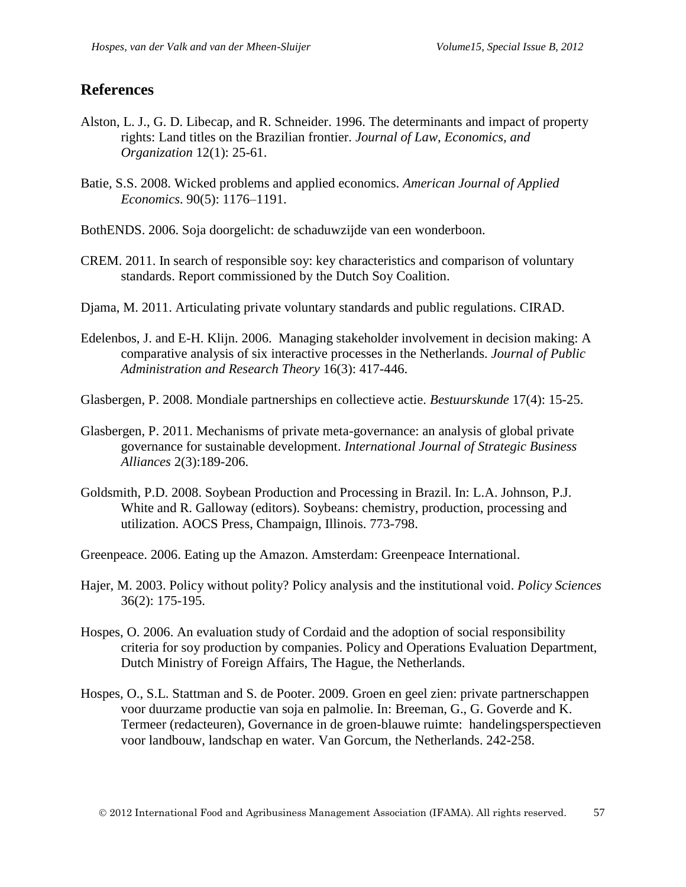### **References**

- Alston, L. J., G. D. Libecap, and R. Schneider. 1996. The determinants and impact of property rights: Land titles on the Brazilian frontier. *Journal of Law, Economics, and Organization* 12(1): 25-61.
- Batie, S.S. 2008. Wicked problems and applied economics. *American Journal of Applied Economics*. 90(5): 1176–1191.
- BothENDS. 2006. Soja doorgelicht: de schaduwzijde van een wonderboon.
- CREM. 2011. In search of responsible soy: key characteristics and comparison of voluntary standards. Report commissioned by the Dutch Soy Coalition.
- Djama, M. 2011. Articulating private voluntary standards and public regulations. CIRAD.
- Edelenbos, J. and E-H. Klijn. 2006. Managing stakeholder involvement in decision making: A comparative analysis of six interactive processes in the Netherlands. *Journal of Public Administration and Research Theory* 16(3): 417-446.
- Glasbergen, P. 2008. Mondiale partnerships en collectieve actie. *Bestuurskunde* 17(4): 15-25.
- Glasbergen, P. 2011. Mechanisms of private meta-governance: an analysis of global private governance for sustainable development. *International Journal of Strategic Business Alliances* 2(3):189-206.
- Goldsmith, P.D. 2008. Soybean Production and Processing in Brazil. In: L.A. Johnson, P.J. White and R. Galloway (editors). Soybeans: chemistry, production, processing and utilization. AOCS Press, Champaign, Illinois. 773-798.

Greenpeace. 2006. Eating up the Amazon. Amsterdam: Greenpeace International.

- Hajer, M. 2003. Policy without polity? Policy analysis and the institutional void. *Policy Sciences*  36(2): 175-195.
- Hospes, O. 2006. An evaluation study of Cordaid and the adoption of social responsibility criteria for soy production by companies. Policy and Operations Evaluation Department, Dutch Ministry of Foreign Affairs, The Hague, the Netherlands.
- Hospes, O., S.L. Stattman and S. de Pooter. 2009. Groen en geel zien: private partnerschappen voor duurzame productie van soja en palmolie. In: Breeman, G., G. Goverde and K. Termeer (redacteuren), Governance in de groen-blauwe ruimte: handelingsperspectieven voor landbouw, landschap en water. Van Gorcum, the Netherlands. 242-258.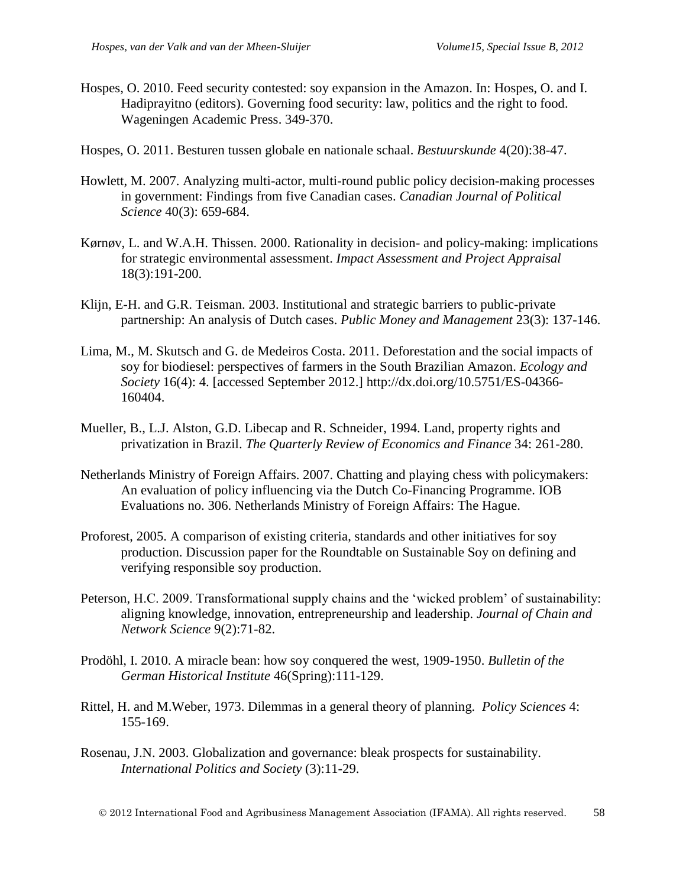- Hospes, O. 2010. Feed security contested: soy expansion in the Amazon. In: Hospes, O. and I. Hadiprayitno (editors). Governing food security: law, politics and the right to food. Wageningen Academic Press. 349-370.
- Hospes, O. 2011. Besturen tussen globale en nationale schaal. *Bestuurskunde* 4(20):38-47.
- Howlett, M. 2007. Analyzing multi-actor, multi-round public policy decision-making processes in government: Findings from five Canadian cases. *Canadian Journal of Political Science* 40(3): 659-684.
- Kørnøv, L. and W.A.H. Thissen. 2000. Rationality in decision- and policy-making: implications for strategic environmental assessment. *Impact Assessment and Project Appraisal* 18(3):191-200.
- Klijn, E-H. and G.R. Teisman. 2003. Institutional and strategic barriers to public-private partnership: An analysis of Dutch cases. *Public Money and Management* 23(3): 137-146.
- Lima, M., M. Skutsch and G. de Medeiros Costa. 2011. Deforestation and the social impacts of soy for biodiesel: perspectives of farmers in the South Brazilian Amazon. *Ecology and Society* 16(4): 4. [accessed September 2012.] http://dx.doi.org/10.5751/ES-04366- 160404.
- Mueller, B., L.J. Alston, G.D. Libecap and R. Schneider, 1994. Land, property rights and privatization in Brazil. *The Quarterly Review of Economics and Finance* 34: 261-280.
- Netherlands Ministry of Foreign Affairs. 2007. Chatting and playing chess with policymakers: An evaluation of policy influencing via the Dutch Co-Financing Programme. IOB Evaluations no. 306. Netherlands Ministry of Foreign Affairs: The Hague.
- Proforest, 2005. A comparison of existing criteria, standards and other initiatives for soy production. Discussion paper for the Roundtable on Sustainable Soy on defining and verifying responsible soy production.
- Peterson, H.C. 2009. Transformational supply chains and the 'wicked problem' of sustainability: aligning knowledge, innovation, entrepreneurship and leadership. *Journal of Chain and Network Science* 9(2):71-82.
- Prodöhl, I. 2010. A miracle bean: how soy conquered the west, 1909-1950. *Bulletin of the German Historical Institute* 46(Spring):111-129.
- Rittel, H. and M.Weber, 1973. Dilemmas in a general theory of planning. *Policy Sciences* 4: 155-169.
- Rosenau, J.N. 2003. Globalization and governance: bleak prospects for sustainability. *International Politics and Society* (3):11-29.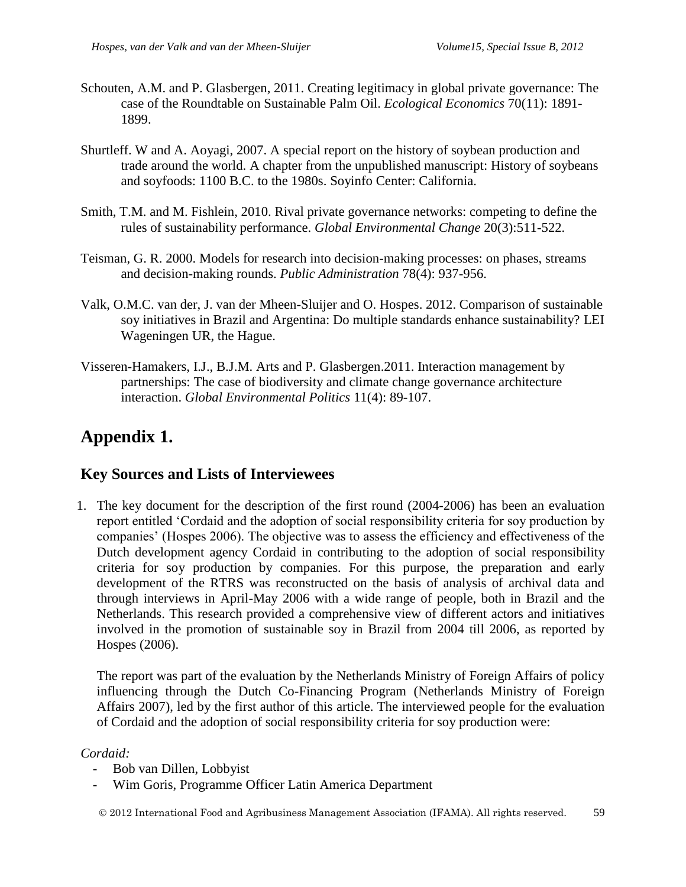- Schouten, A.M. and P. Glasbergen, 2011. Creating legitimacy in global private governance: The case of the Roundtable on Sustainable Palm Oil. *Ecological Economics* 70(11): 1891- 1899.
- Shurtleff. W and A. Aoyagi, 2007. A special report on the history of soybean production and trade around the world. A chapter from the unpublished manuscript: History of soybeans and soyfoods: 1100 B.C. to the 1980s. Soyinfo Center: California.
- Smith, T.M. and M. Fishlein, 2010. Rival private governance networks: competing to define the rules of sustainability performance. *Global Environmental Change* 20(3):511-522.
- Teisman, G. R. 2000. Models for research into decision-making processes: on phases, streams and decision-making rounds. *Public Administration* 78(4): 937-956.
- Valk, O.M.C. van der, J. van der Mheen-Sluijer and O. Hospes. 2012. Comparison of sustainable soy initiatives in Brazil and Argentina: Do multiple standards enhance sustainability? LEI Wageningen UR, the Hague.
- Visseren-Hamakers, I.J., B.J.M. Arts and P. Glasbergen.2011. Interaction management by partnerships: The case of biodiversity and climate change governance architecture interaction. *Global Environmental Politics* 11(4): 89-107.

# **Appendix 1.**

## **Key Sources and Lists of Interviewees**

1. The key document for the description of the first round (2004-2006) has been an evaluation report entitled 'Cordaid and the adoption of social responsibility criteria for soy production by companies' (Hospes 2006). The objective was to assess the efficiency and effectiveness of the Dutch development agency Cordaid in contributing to the adoption of social responsibility criteria for soy production by companies. For this purpose, the preparation and early development of the RTRS was reconstructed on the basis of analysis of archival data and through interviews in April-May 2006 with a wide range of people, both in Brazil and the Netherlands. This research provided a comprehensive view of different actors and initiatives involved in the promotion of sustainable soy in Brazil from 2004 till 2006, as reported by Hospes (2006).

The report was part of the evaluation by the Netherlands Ministry of Foreign Affairs of policy influencing through the Dutch Co-Financing Program (Netherlands Ministry of Foreign Affairs 2007), led by the first author of this article. The interviewed people for the evaluation of Cordaid and the adoption of social responsibility criteria for soy production were:

### *Cordaid:*

- Bob van Dillen, Lobbyist
- Wim Goris, Programme Officer Latin America Department

2012 International Food and Agribusiness Management Association (IFAMA). All rights reserved. 59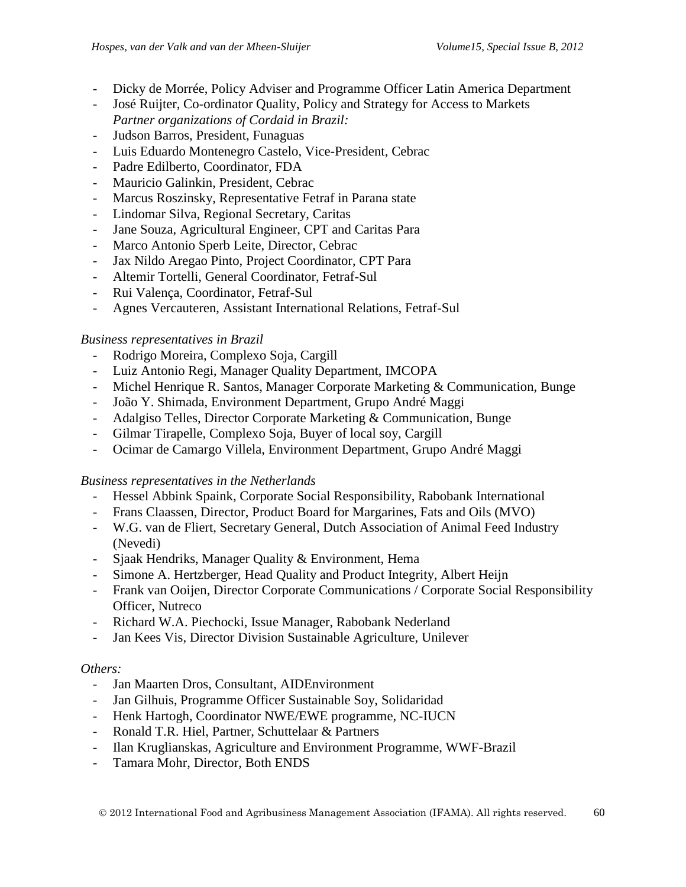- Dicky de Morrée, Policy Adviser and Programme Officer Latin America Department
- José Ruijter, Co-ordinator Quality, Policy and Strategy for Access to Markets *Partner organizations of Cordaid in Brazil:*
- Judson Barros, President, Funaguas
- Luis Eduardo Montenegro Castelo, Vice-President, Cebrac
- Padre Edilberto, Coordinator, FDA
- Mauricio Galinkin, President, Cebrac
- Marcus Roszinsky, Representative Fetraf in Parana state
- Lindomar Silva, Regional Secretary, Caritas
- Jane Souza, Agricultural Engineer, CPT and Caritas Para
- Marco Antonio Sperb Leite, Director, Cebrac
- Jax Nildo Aregao Pinto, Project Coordinator, CPT Para
- Altemir Tortelli, General Coordinator, Fetraf-Sul
- Rui Valença, Coordinator, Fetraf-Sul
- Agnes Vercauteren, Assistant International Relations, Fetraf-Sul

### *Business representatives in Brazil*

- Rodrigo Moreira, Complexo Soja, Cargill
- Luiz Antonio Regi, Manager Quality Department, IMCOPA
- Michel Henrique R. Santos, Manager Corporate Marketing & Communication, Bunge
- João Y. Shimada, Environment Department, Grupo André Maggi
- Adalgiso Telles, Director Corporate Marketing & Communication, Bunge
- Gilmar Tirapelle, Complexo Soja, Buyer of local soy, Cargill
- Ocimar de Camargo Villela, Environment Department, Grupo André Maggi

### *Business representatives in the Netherlands*

- Hessel Abbink Spaink, Corporate Social Responsibility, Rabobank International
- Frans Claassen, Director, Product Board for Margarines, Fats and Oils (MVO)
- W.G. van de Fliert, Secretary General, Dutch Association of Animal Feed Industry (Nevedi)
- Sjaak Hendriks, Manager Quality & Environment, Hema
- Simone A. Hertzberger, Head Quality and Product Integrity, Albert Heijn
- Frank van Ooijen, Director Corporate Communications / Corporate Social Responsibility Officer, Nutreco
- Richard W.A. Piechocki, Issue Manager, Rabobank Nederland
- Jan Kees Vis, Director Division Sustainable Agriculture, Unilever

### *Others:*

- Jan Maarten Dros, Consultant, AIDEnvironment
- Jan Gilhuis, Programme Officer Sustainable Soy, Solidaridad
- Henk Hartogh, Coordinator NWE/EWE programme, NC-IUCN
- Ronald T.R. Hiel, Partner, Schuttelaar & Partners
- Ilan Kruglianskas, Agriculture and Environment Programme, WWF-Brazil
- Tamara Mohr, Director, Both ENDS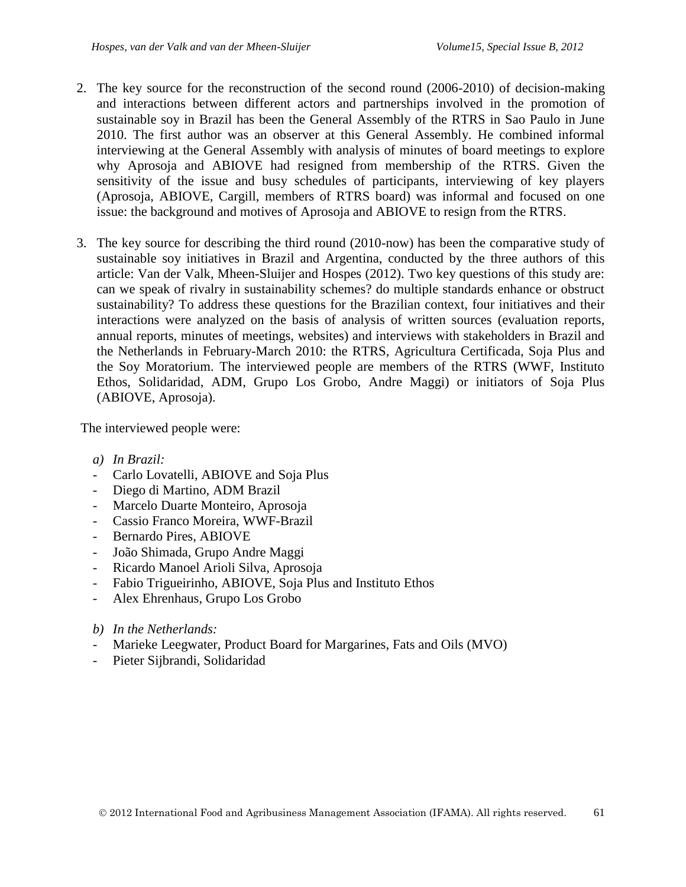- 2. The key source for the reconstruction of the second round (2006-2010) of decision-making and interactions between different actors and partnerships involved in the promotion of sustainable soy in Brazil has been the General Assembly of the RTRS in Sao Paulo in June 2010. The first author was an observer at this General Assembly. He combined informal interviewing at the General Assembly with analysis of minutes of board meetings to explore why Aprosoja and ABIOVE had resigned from membership of the RTRS. Given the sensitivity of the issue and busy schedules of participants, interviewing of key players (Aprosoja, ABIOVE, Cargill, members of RTRS board) was informal and focused on one issue: the background and motives of Aprosoja and ABIOVE to resign from the RTRS.
- 3. The key source for describing the third round (2010-now) has been the comparative study of sustainable soy initiatives in Brazil and Argentina, conducted by the three authors of this article: Van der Valk, Mheen-Sluijer and Hospes (2012). Two key questions of this study are: can we speak of rivalry in sustainability schemes? do multiple standards enhance or obstruct sustainability? To address these questions for the Brazilian context, four initiatives and their interactions were analyzed on the basis of analysis of written sources (evaluation reports, annual reports, minutes of meetings, websites) and interviews with stakeholders in Brazil and the Netherlands in February-March 2010: the RTRS, Agricultura Certificada, Soja Plus and the Soy Moratorium. The interviewed people are members of the RTRS (WWF, Instituto Ethos, Solidaridad, ADM, Grupo Los Grobo, Andre Maggi) or initiators of Soja Plus (ABIOVE, Aprosoja).

The interviewed people were:

- *a) In Brazil:*
- Carlo Lovatelli, ABIOVE and Soja Plus
- Diego di Martino, ADM Brazil
- Marcelo Duarte Monteiro, Aprosoja
- Cassio Franco Moreira, WWF-Brazil
- Bernardo Pires, ABIOVE
- João Shimada, Grupo Andre Maggi
- Ricardo Manoel Arioli Silva, Aprosoja
- Fabio Trigueirinho, ABIOVE, Soja Plus and Instituto Ethos
- Alex Ehrenhaus, Grupo Los Grobo
- *b) In the Netherlands:*
- Marieke Leegwater, Product Board for Margarines, Fats and Oils (MVO)
- Pieter Sijbrandi, Solidaridad